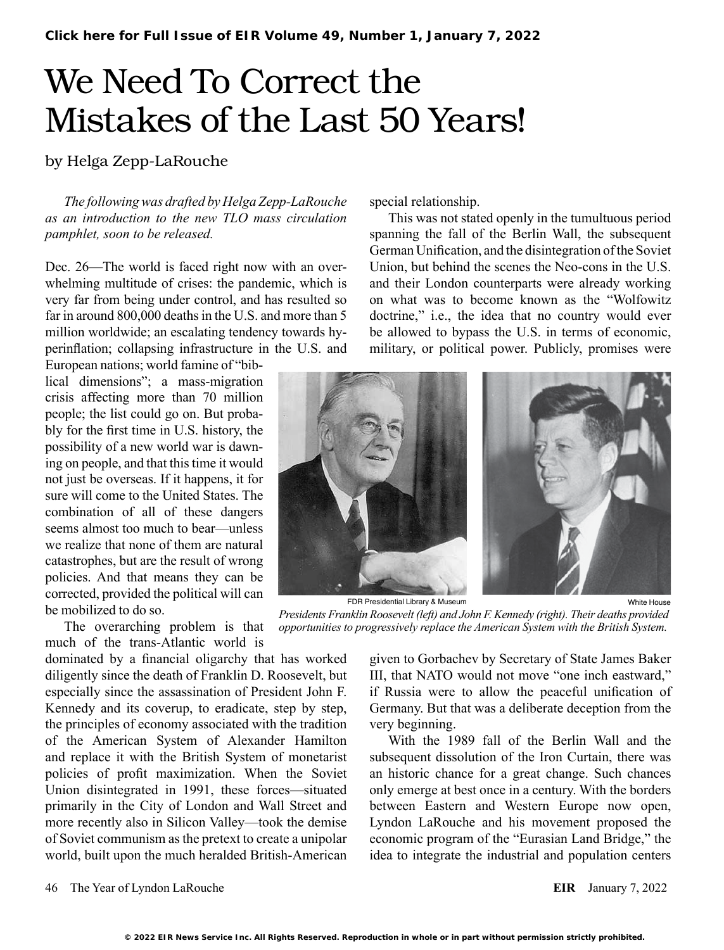## We Need To Correct the Mistakes of the Last 50 Years!

by Helga Zepp-LaRouche

*The following was drafted by Helga Zepp-LaRouche as an introduction to the new TLO mass circulation pamphlet, soon to be released.* 

Dec. 26—The world is faced right now with an overwhelming multitude of crises: the pandemic, which is very far from being under control, and has resulted so far in around 800,000 deaths in the U.S. and more than 5 million worldwide; an escalating tendency towards hyperinflation; collapsing infrastructure in the U.S. and

European nations; world famine of "biblical dimensions"; a mass-migration crisis affecting more than 70 million people; the list could go on. But probably for the first time in U.S. history, the possibility of a new world war is dawning on people, and that this time it would not just be overseas. If it happens, it for sure will come to the United States. The combination of all of these dangers seems almost too much to bear—unless we realize that none of them are natural catastrophes, but are the result of wrong policies. And that means they can be corrected, provided the political will can be mobilized to do so.

The overarching problem is that much of the trans-Atlantic world is

dominated by a financial oligarchy that has worked diligently since the death of Franklin D. Roosevelt, but especially since the assassination of President John F. Kennedy and its coverup, to eradicate, step by step, the principles of economy associated with the tradition of the American System of Alexander Hamilton and replace it with the British System of monetarist policies of profit maximization. When the Soviet Union disintegrated in 1991, these forces—situated primarily in the City of London and Wall Street and more recently also in Silicon Valley—took the demise of Soviet communism as the pretext to create a unipolar world, built upon the much heralded British-American

special relationship.

This was not stated openly in the tumultuous period spanning the fall of the Berlin Wall, the subsequent German Unification, and the disintegration of the Soviet Union, but behind the scenes the Neo-cons in the U.S. and their London counterparts were already working on what was to become known as the "Wolfowitz doctrine," i.e., the idea that no country would ever be allowed to bypass the U.S. in terms of economic, military, or political power. Publicly, promises were



FDR Presidential Library & Museum

*Presidents Franklin Roosevelt (left) and John F. Kennedy (right). Their deaths provided opportunities to progressively replace the American System with the British System.*

given to Gorbachev by Secretary of State James Baker III, that NATO would not move "one inch eastward," if Russia were to allow the peaceful unification of Germany. But that was a deliberate deception from the very beginning.

With the 1989 fall of the Berlin Wall and the subsequent dissolution of the Iron Curtain, there was an historic chance for a great change. Such chances only emerge at best once in a century. With the borders between Eastern and Western Europe now open, Lyndon LaRouche and his movement proposed the economic program of the "Eurasian Land Bridge," the idea to integrate the industrial and population centers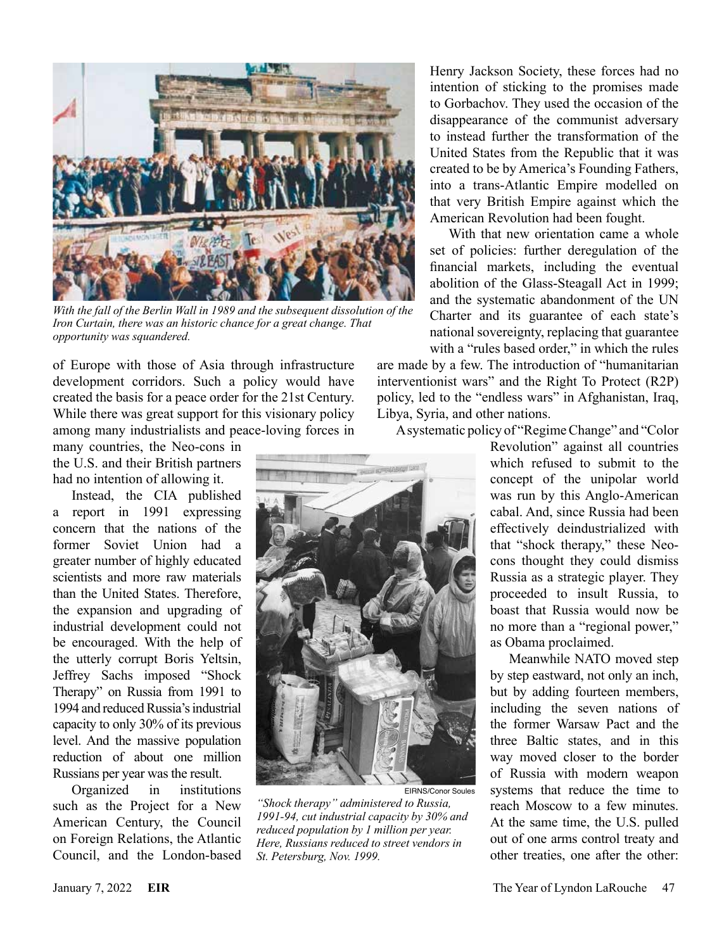

*With the fall of the Berlin Wall in 1989 and the subsequent dissolution of the Iron Curtain, there was an historic chance for a great change. That opportunity was squandered.*

of Europe with those of Asia through infrastructure development corridors. Such a policy would have created the basis for a peace order for the 21st Century. While there was great support for this visionary policy among many industrialists and peace-loving forces in

many countries, the Neo-cons in the U.S. and their British partners had no intention of allowing it.

Instead, the CIA published a report in 1991 expressing concern that the nations of the former Soviet Union had a greater number of highly educated scientists and more raw materials than the United States. Therefore, the expansion and upgrading of industrial development could not be encouraged. With the help of the utterly corrupt Boris Yeltsin, Jeffrey Sachs imposed "Shock Therapy" on Russia from 1991 to 1994 and reduced Russia's industrial capacity to only 30% of its previous level. And the massive population reduction of about one million Russians per year was the result.

Organized in institutions such as the Project for a New American Century, the Council on Foreign Relations, the Atlantic Council, and the London-based

Henry Jackson Society, these forces had no intention of sticking to the promises made to Gorbachov. They used the occasion of the disappearance of the communist adversary to instead further the transformation of the United States from the Republic that it was created to be by America's Founding Fathers, into a trans-Atlantic Empire modelled on that very British Empire against which the American Revolution had been fought.

With that new orientation came a whole set of policies: further deregulation of the financial markets, including the eventual abolition of the Glass-Steagall Act in 1999; and the systematic abandonment of the UN Charter and its guarantee of each state's national sovereignty, replacing that guarantee with a "rules based order," in which the rules

are made by a few. The introduction of "humanitarian interventionist wars" and the Right To Protect (R2P) policy, led to the "endless wars" in Afghanistan, Iraq, Libya, Syria, and other nations.

A systematic policy of "Regime Change" and "Color



EIRNS/Conor Soules

*"Shock therapy" administered to Russia, 1991-94, cut industrial capacity by 30% and reduced population by 1 million per year. Here, Russians reduced to street vendors in St. Petersburg, Nov. 1999.* 

Revolution" against all countries which refused to submit to the concept of the unipolar world was run by this Anglo-American cabal. And, since Russia had been effectively deindustrialized with that "shock therapy," these Neocons thought they could dismiss Russia as a strategic player. They proceeded to insult Russia, to boast that Russia would now be no more than a "regional power," as Obama proclaimed.

Meanwhile NATO moved step by step eastward, not only an inch, but by adding fourteen members, including the seven nations of the former Warsaw Pact and the three Baltic states, and in this way moved closer to the border of Russia with modern weapon systems that reduce the time to reach Moscow to a few minutes. At the same time, the U.S. pulled out of one arms control treaty and other treaties, one after the other: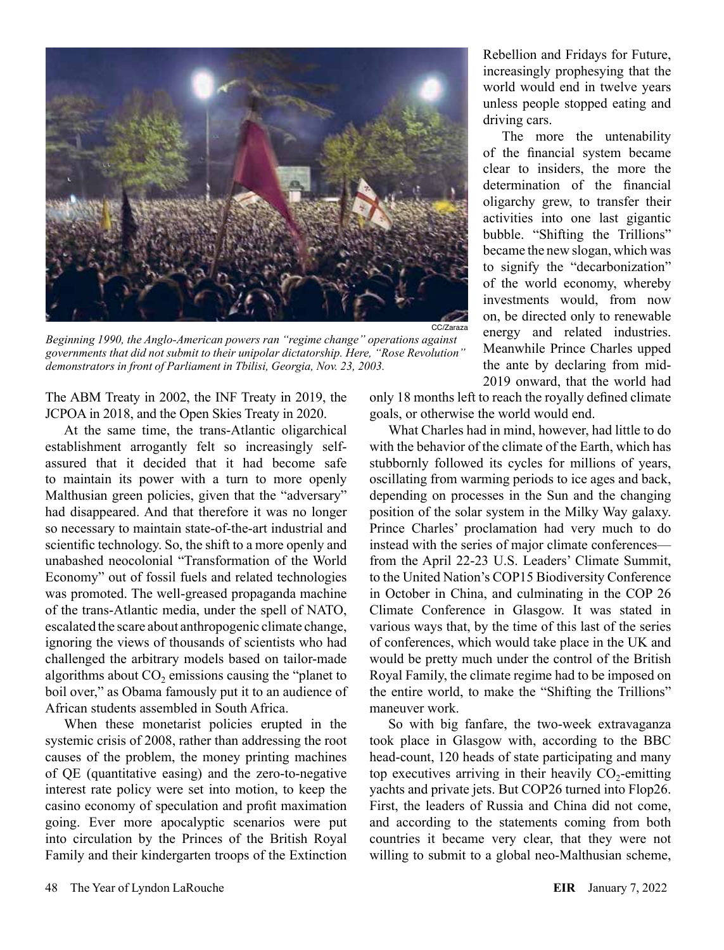

*Beginning 1990, the Anglo-American powers ran "regime change" operations against governments that did not submit to their unipolar dictatorship. Here, "Rose Revolution" demonstrators in front of Parliament in Tbilisi, Georgia, Nov. 23, 2003.*

The ABM Treaty in 2002, the INF Treaty in 2019, the JCPOA in 2018, and the Open Skies Treaty in 2020.

At the same time, the trans-Atlantic oligarchical establishment arrogantly felt so increasingly selfassured that it decided that it had become safe to maintain its power with a turn to more openly Malthusian green policies, given that the "adversary" had disappeared. And that therefore it was no longer so necessary to maintain state-of-the-art industrial and scientific technology. So, the shift to a more openly and unabashed neocolonial "Transformation of the World Economy" out of fossil fuels and related technologies was promoted. The well-greased propaganda machine of the trans-Atlantic media, under the spell of NATO, escalated the scare about anthropogenic climate change, ignoring the views of thousands of scientists who had challenged the arbitrary models based on tailor-made algorithms about  $CO<sub>2</sub>$  emissions causing the "planet to" boil over," as Obama famously put it to an audience of African students assembled in South Africa.

When these monetarist policies erupted in the systemic crisis of 2008, rather than addressing the root causes of the problem, the money printing machines of QE (quantitative easing) and the zero-to-negative interest rate policy were set into motion, to keep the casino economy of speculation and profit maximation going. Ever more apocalyptic scenarios were put into circulation by the Princes of the British Royal Family and their kindergarten troops of the Extinction

Rebellion and Fridays for Future, increasingly prophesying that the world would end in twelve years unless people stopped eating and driving cars.

The more the untenability of the financial system became clear to insiders, the more the determination of the financial oligarchy grew, to transfer their activities into one last gigantic bubble. "Shifting the Trillions" became the new slogan, which was to signify the "decarbonization" of the world economy, whereby investments would, from now on, be directed only to renewable energy and related industries. Meanwhile Prince Charles upped the ante by declaring from mid-2019 onward, that the world had

only 18 months left to reach the royally defined climate goals, or otherwise the world would end.

What Charles had in mind, however, had little to do with the behavior of the climate of the Earth, which has stubbornly followed its cycles for millions of years, oscillating from warming periods to ice ages and back, depending on processes in the Sun and the changing position of the solar system in the Milky Way galaxy. Prince Charles' proclamation had very much to do instead with the series of major climate conferences from the April 22-23 U.S. Leaders' Climate Summit, to the United Nation's COP15 Biodiversity Conference in October in China, and culminating in the COP 26 Climate Conference in Glasgow. It was stated in various ways that, by the time of this last of the series of conferences, which would take place in the UK and would be pretty much under the control of the British Royal Family, the climate regime had to be imposed on the entire world, to make the "Shifting the Trillions" maneuver work.

So with big fanfare, the two-week extravaganza took place in Glasgow with, according to the BBC head-count, 120 heads of state participating and many top executives arriving in their heavily  $CO<sub>2</sub>$ -emitting yachts and private jets. But COP26 turned into Flop26. First, the leaders of Russia and China did not come, and according to the statements coming from both countries it became very clear, that they were not willing to submit to a global neo-Malthusian scheme,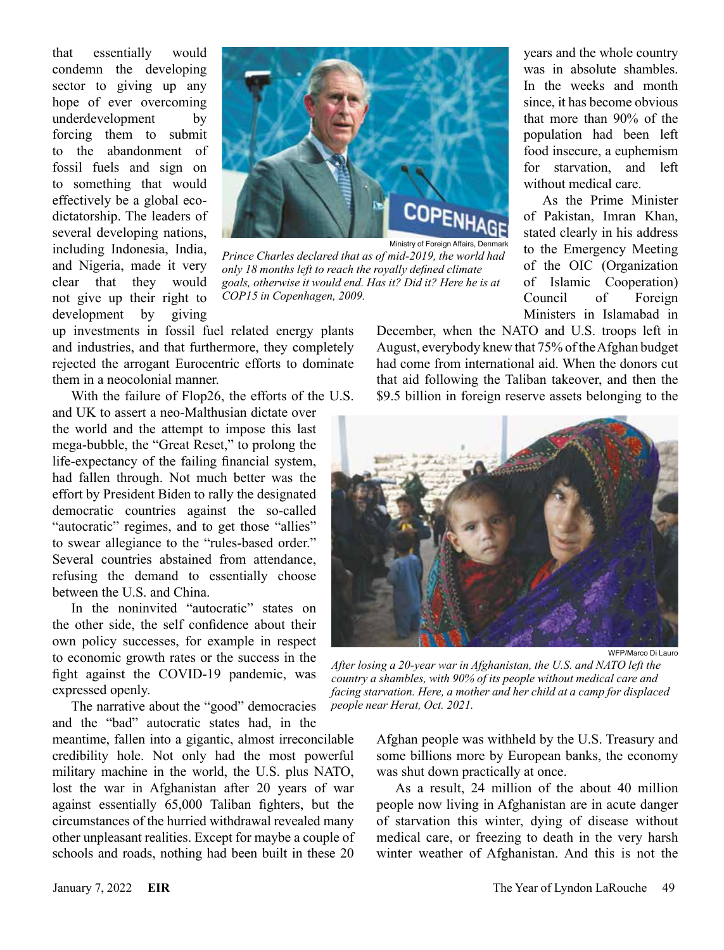that essentially would condemn the developing sector to giving up any hope of ever overcoming underdevelopment by forcing them to submit to the abandonment of fossil fuels and sign on to something that would effectively be a global ecodictatorship. The leaders of several developing nations, including Indonesia, India, and Nigeria, made it very clear that they would not give up their right to development by giving



Ministry of Foreign Affairs, Denmark

*Prince Charles declared that as of mid-2019, the world had only 18 months left to reach the royally defined climate goals, otherwise it would end. Has it? Did it? Here he is at COP15 in Copenhagen, 2009.*

up investments in fossil fuel related energy plants and industries, and that furthermore, they completely rejected the arrogant Eurocentric efforts to dominate them in a neocolonial manner.

With the failure of Flop26, the efforts of the U.S. and UK to assert a neo-Malthusian dictate over the world and the attempt to impose this last mega-bubble, the "Great Reset," to prolong the life-expectancy of the failing financial system, had fallen through. Not much better was the effort by President Biden to rally the designated democratic countries against the so-called "autocratic" regimes, and to get those "allies" to swear allegiance to the "rules-based order." Several countries abstained from attendance, refusing the demand to essentially choose between the U.S. and China.

In the noninvited "autocratic" states on the other side, the self confidence about their own policy successes, for example in respect to economic growth rates or the success in the fight against the COVID-19 pandemic, was expressed openly.

The narrative about the "good" democracies and the "bad" autocratic states had, in the

meantime, fallen into a gigantic, almost irreconcilable credibility hole. Not only had the most powerful military machine in the world, the U.S. plus NATO, lost the war in Afghanistan after 20 years of war against essentially 65,000 Taliban fighters, but the circumstances of the hurried withdrawal revealed many other unpleasant realities. Except for maybe a couple of schools and roads, nothing had been built in these 20

years and the whole country was in absolute shambles. In the weeks and month since, it has become obvious that more than 90% of the population had been left food insecure, a euphemism for starvation, and left without medical care.

As the Prime Minister of Pakistan, Imran Khan, stated clearly in his address to the Emergency Meeting of the OIC (Organization of Islamic Cooperation) Council of Foreign Ministers in Islamabad in

December, when the NATO and U.S. troops left in August, everybody knew that 75% of the Afghan budget had come from international aid. When the donors cut that aid following the Taliban takeover, and then the \$9.5 billion in foreign reserve assets belonging to the



WFP/Marco Di Lauro

*After losing a 20-year war in Afghanistan, the U.S. and NATO left the country a shambles, with 90% of its people without medical care and facing starvation. Here, a mother and her child at a camp for displaced people near Herat, Oct. 2021.*

Afghan people was withheld by the U.S. Treasury and some billions more by European banks, the economy was shut down practically at once.

As a result, 24 million of the about 40 million people now living in Afghanistan are in acute danger of starvation this winter, dying of disease without medical care, or freezing to death in the very harsh winter weather of Afghanistan. And this is not the